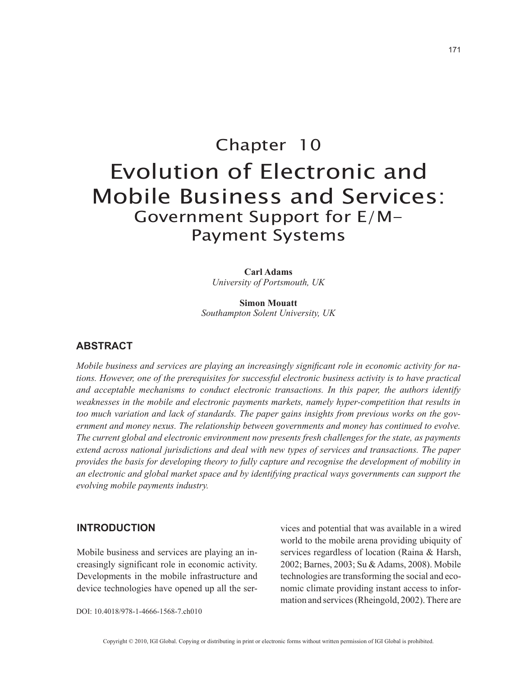171

# Chapter 10 Evolution of Electronic and Mobile Business and Services: Government Support for E/M-Payment Systems

**Carl Adams** *University of Portsmouth, UK*

**Simon Mouatt** *Southampton Solent University, UK*

# **ABSTRACT**

*Mobile business and services are playing an increasingly significant role in economic activity for nations. However, one of the prerequisites for successful electronic business activity is to have practical and acceptable mechanisms to conduct electronic transactions. In this paper, the authors identify weaknesses in the mobile and electronic payments markets, namely hyper-competition that results in too much variation and lack of standards. The paper gains insights from previous works on the government and money nexus. The relationship between governments and money has continued to evolve. The current global and electronic environment now presents fresh challenges for the state, as payments extend across national jurisdictions and deal with new types of services and transactions. The paper provides the basis for developing theory to fully capture and recognise the development of mobility in an electronic and global market space and by identifying practical ways governments can support the evolving mobile payments industry.*

## **INTRODUCTION**

Mobile business and services are playing an increasingly significant role in economic activity. Developments in the mobile infrastructure and device technologies have opened up all the services and potential that was available in a wired world to the mobile arena providing ubiquity of services regardless of location (Raina & Harsh, 2002; Barnes, 2003; Su & Adams, 2008). Mobile technologies are transforming the social and economic climate providing instant access to information and services (Rheingold, 2002). There are

DOI: 10.4018/978-1-4666-1568-7.ch010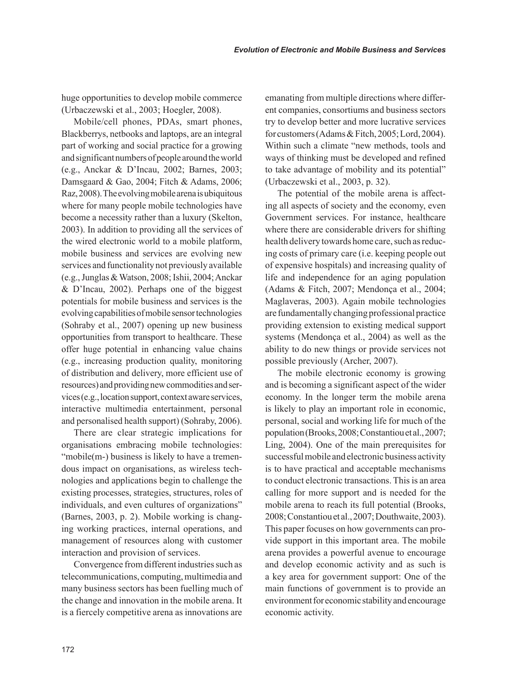huge opportunities to develop mobile commerce (Urbaczewski et al., 2003; Hoegler, 2008).

Mobile/cell phones, PDAs, smart phones, Blackberrys, netbooks and laptops, are an integral part of working and social practice for a growing and significant numbers of people around the world (e.g., Anckar & D'Incau, 2002; Barnes, 2003; Damsgaard & Gao, 2004; Fitch & Adams, 2006; Raz, 2008). The evolving mobile arena is ubiquitous where for many people mobile technologies have become a necessity rather than a luxury (Skelton, 2003). In addition to providing all the services of the wired electronic world to a mobile platform, mobile business and services are evolving new services and functionality not previously available (e.g., Junglas & Watson, 2008; Ishii, 2004; Anckar & D'Incau, 2002). Perhaps one of the biggest potentials for mobile business and services is the evolving capabilities of mobile sensor technologies (Sohraby et al., 2007) opening up new business opportunities from transport to healthcare. These offer huge potential in enhancing value chains (e.g., increasing production quality, monitoring of distribution and delivery, more efficient use of resources) and providing new commodities and services (e.g., location support, context aware services, interactive multimedia entertainment, personal and personalised health support) (Sohraby, 2006).

There are clear strategic implications for organisations embracing mobile technologies: "mobile(m-) business is likely to have a tremendous impact on organisations, as wireless technologies and applications begin to challenge the existing processes, strategies, structures, roles of individuals, and even cultures of organizations" (Barnes, 2003, p. 2). Mobile working is changing working practices, internal operations, and management of resources along with customer interaction and provision of services.

Convergence from different industries such as telecommunications, computing, multimedia and many business sectors has been fuelling much of the change and innovation in the mobile arena. It is a fiercely competitive arena as innovations are emanating from multiple directions where different companies, consortiums and business sectors try to develop better and more lucrative services for customers (Adams & Fitch, 2005; Lord, 2004). Within such a climate "new methods, tools and ways of thinking must be developed and refined to take advantage of mobility and its potential" (Urbaczewski et al., 2003, p. 32).

The potential of the mobile arena is affecting all aspects of society and the economy, even Government services. For instance, healthcare where there are considerable drivers for shifting health delivery towards home care, such as reducing costs of primary care (i.e. keeping people out of expensive hospitals) and increasing quality of life and independence for an aging population (Adams & Fitch, 2007; Mendonça et al., 2004; Maglaveras, 2003). Again mobile technologies are fundamentally changing professional practice providing extension to existing medical support systems (Mendonça et al., 2004) as well as the ability to do new things or provide services not possible previously (Archer, 2007).

The mobile electronic economy is growing and is becoming a significant aspect of the wider economy. In the longer term the mobile arena is likely to play an important role in economic, personal, social and working life for much of the population (Brooks, 2008; Constantiou et al., 2007; Ling, 2004). One of the main prerequisites for successful mobile and electronic business activity is to have practical and acceptable mechanisms to conduct electronic transactions. This is an area calling for more support and is needed for the mobile arena to reach its full potential (Brooks, 2008; Constantiou et al., 2007; Douthwaite, 2003). This paper focuses on how governments can provide support in this important area. The mobile arena provides a powerful avenue to encourage and develop economic activity and as such is a key area for government support: One of the main functions of government is to provide an environment for economic stability and encourage economic activity.